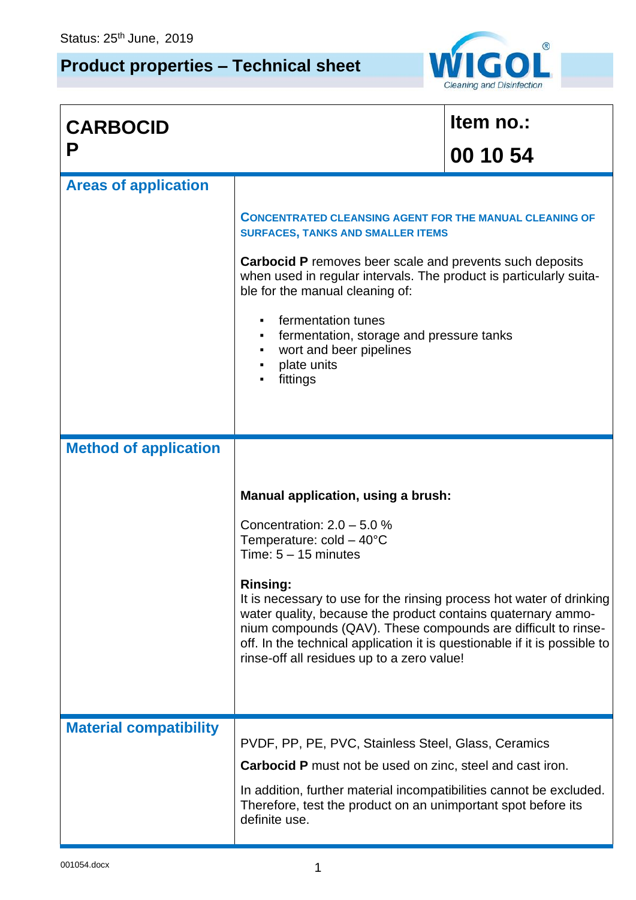r

## **Product properties – Technical sheet**



| <b>CARBOCID</b>               |                                                                                                                                                                                                                                                                                                                                                                                                                                                                                          | Item no.: |
|-------------------------------|------------------------------------------------------------------------------------------------------------------------------------------------------------------------------------------------------------------------------------------------------------------------------------------------------------------------------------------------------------------------------------------------------------------------------------------------------------------------------------------|-----------|
| P                             |                                                                                                                                                                                                                                                                                                                                                                                                                                                                                          | 00 10 54  |
| <b>Areas of application</b>   |                                                                                                                                                                                                                                                                                                                                                                                                                                                                                          |           |
|                               | <b>CONCENTRATED CLEANSING AGENT FOR THE MANUAL CLEANING OF</b><br><b>SURFACES, TANKS AND SMALLER ITEMS</b><br><b>Carbocid P</b> removes beer scale and prevents such deposits<br>when used in regular intervals. The product is particularly suita-<br>ble for the manual cleaning of:<br>fermentation tunes<br>fermentation, storage and pressure tanks<br>wort and beer pipelines<br>٠                                                                                                 |           |
|                               | plate units<br>$\blacksquare$<br>fittings                                                                                                                                                                                                                                                                                                                                                                                                                                                |           |
| <b>Method of application</b>  |                                                                                                                                                                                                                                                                                                                                                                                                                                                                                          |           |
|                               | Manual application, using a brush:<br>Concentration: $2.0 - 5.0 %$<br>Temperature: $cold - 40^{\circ}C$<br>Time: $5 - 15$ minutes<br><b>Rinsing:</b><br>It is necessary to use for the rinsing process hot water of drinking<br>water quality, because the product contains quaternary ammo-<br>nium compounds (QAV). These compounds are difficult to rinse-<br>off. In the technical application it is questionable if it is possible to<br>rinse-off all residues up to a zero value! |           |
| <b>Material compatibility</b> | PVDF, PP, PE, PVC, Stainless Steel, Glass, Ceramics<br><b>Carbocid P</b> must not be used on zinc, steel and cast iron.<br>In addition, further material incompatibilities cannot be excluded.<br>Therefore, test the product on an unimportant spot before its<br>definite use.                                                                                                                                                                                                         |           |